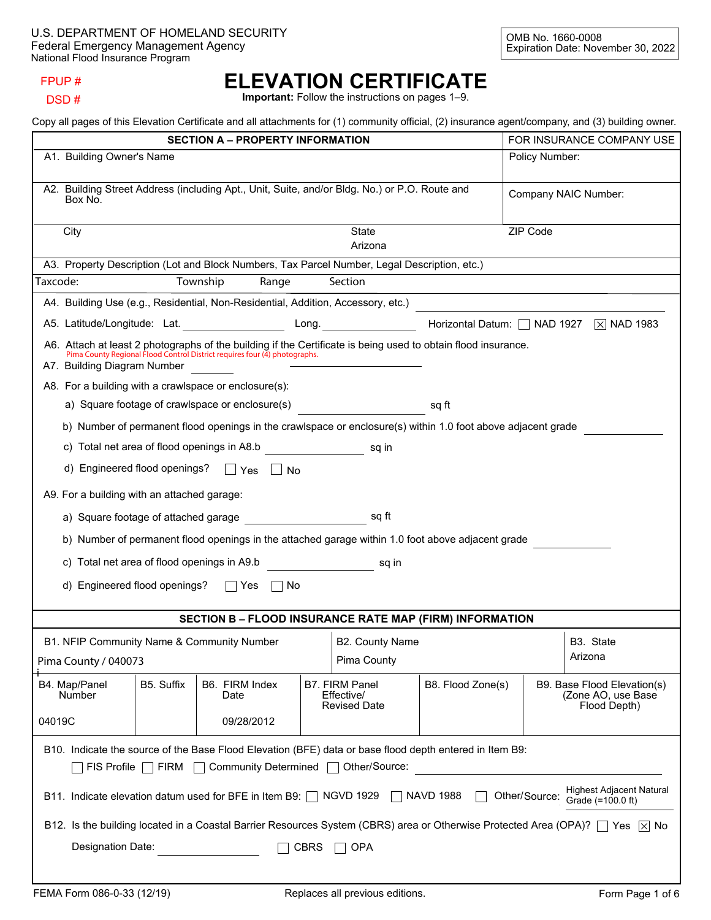### FPUP #

#### DSD #

# **ELEVATION CERTIFICATE**

**Important:** Follow the instructions on pages 1–9.

Copy all pages of this Elevation Certificate and all attachments for (1) community official, (2) insurance agent/company, and (3) building owner.

|                                                                                                                                                                                            |                                                                                   |            | <b>SECTION A - PROPERTY INFORMATION</b>                                                                                                                                                     |  |                                                     |                   |                                                    | FOR INSURANCE COMPANY USE                                         |
|--------------------------------------------------------------------------------------------------------------------------------------------------------------------------------------------|-----------------------------------------------------------------------------------|------------|---------------------------------------------------------------------------------------------------------------------------------------------------------------------------------------------|--|-----------------------------------------------------|-------------------|----------------------------------------------------|-------------------------------------------------------------------|
| A1. Building Owner's Name                                                                                                                                                                  |                                                                                   |            |                                                                                                                                                                                             |  |                                                     | Policy Number:    |                                                    |                                                                   |
| A2. Building Street Address (including Apt., Unit, Suite, and/or Bldg. No.) or P.O. Route and<br>Box No.                                                                                   |                                                                                   |            |                                                                                                                                                                                             |  |                                                     |                   | Company NAIC Number:                               |                                                                   |
| City                                                                                                                                                                                       |                                                                                   |            |                                                                                                                                                                                             |  | State<br>Arizona                                    |                   | ZIP Code                                           |                                                                   |
|                                                                                                                                                                                            |                                                                                   |            | A3. Property Description (Lot and Block Numbers, Tax Parcel Number, Legal Description, etc.)                                                                                                |  |                                                     |                   |                                                    |                                                                   |
| Taxcode:                                                                                                                                                                                   |                                                                                   |            | Township<br>Range                                                                                                                                                                           |  | Section                                             |                   | <u> 1989 - Johann Barn, amerikansk politiker (</u> |                                                                   |
|                                                                                                                                                                                            |                                                                                   |            | A4. Building Use (e.g., Residential, Non-Residential, Addition, Accessory, etc.)                                                                                                            |  |                                                     |                   |                                                    | $\Box$                                                            |
|                                                                                                                                                                                            |                                                                                   |            | A5. Latitude/Longitude: Lat.                                                                                                                                                                |  | Long. $\qquad \qquad \qquad$                        |                   |                                                    | Horizontal Datum:   NAD 1927   X NAD 1983                         |
|                                                                                                                                                                                            | A7. Building Diagram Number                                                       |            | A6. Attach at least 2 photographs of the building if the Certificate is being used to obtain flood insurance.<br>Pima County Regional Flood Control District requires four (4) photographs. |  |                                                     |                   |                                                    |                                                                   |
|                                                                                                                                                                                            |                                                                                   |            | A8. For a building with a crawlspace or enclosure(s):                                                                                                                                       |  |                                                     |                   |                                                    |                                                                   |
|                                                                                                                                                                                            |                                                                                   |            | a) Square footage of crawlspace or enclosure(s)                                                                                                                                             |  |                                                     | sq ft             |                                                    |                                                                   |
|                                                                                                                                                                                            |                                                                                   |            | b) Number of permanent flood openings in the crawlspace or enclosure(s) within 1.0 foot above adjacent grade                                                                                |  |                                                     |                   |                                                    |                                                                   |
|                                                                                                                                                                                            |                                                                                   |            | c) Total net area of flood openings in A8.b                                                                                                                                                 |  | sq in                                               |                   |                                                    |                                                                   |
|                                                                                                                                                                                            |                                                                                   |            | d) Engineered flood openings? □ Yes □ No                                                                                                                                                    |  |                                                     |                   |                                                    |                                                                   |
|                                                                                                                                                                                            | A9. For a building with an attached garage:                                       |            |                                                                                                                                                                                             |  |                                                     |                   |                                                    |                                                                   |
|                                                                                                                                                                                            |                                                                                   |            | a) Square footage of attached garage and square footage square                                                                                                                              |  |                                                     |                   |                                                    |                                                                   |
|                                                                                                                                                                                            |                                                                                   |            | b) Number of permanent flood openings in the attached garage within 1.0 foot above adjacent grade                                                                                           |  |                                                     |                   |                                                    |                                                                   |
|                                                                                                                                                                                            |                                                                                   |            | c) Total net area of flood openings in A9.b                                                                                                                                                 |  | sq in                                               |                   |                                                    |                                                                   |
|                                                                                                                                                                                            | d) Engineered flood openings?                                                     |            | $\Box$ Yes<br>No                                                                                                                                                                            |  |                                                     |                   |                                                    |                                                                   |
|                                                                                                                                                                                            |                                                                                   |            | <b>SECTION B - FLOOD INSURANCE RATE MAP (FIRM) INFORMATION</b>                                                                                                                              |  |                                                     |                   |                                                    |                                                                   |
|                                                                                                                                                                                            | B1. NFIP Community Name & Community Number<br>B3. State<br><b>B2. County Name</b> |            |                                                                                                                                                                                             |  |                                                     |                   |                                                    |                                                                   |
| Pima County / 040073                                                                                                                                                                       |                                                                                   |            |                                                                                                                                                                                             |  | Pima County                                         |                   |                                                    | Arizona                                                           |
| B4. Map/Panel<br><b>Number</b>                                                                                                                                                             |                                                                                   | B5. Suffix | B6. FIRM Index<br>Date                                                                                                                                                                      |  | B7. FIRM Panel<br>Effective/<br><b>Revised Date</b> | B8. Flood Zone(s) |                                                    | B9. Base Flood Elevation(s)<br>(Zone AO, use Base<br>Flood Depth) |
| 04019C                                                                                                                                                                                     |                                                                                   |            | 09/28/2012                                                                                                                                                                                  |  |                                                     |                   | $\blacktriangledown$                               | $\vert \bm{\nabla} \vert$                                         |
| B10. Indicate the source of the Base Flood Elevation (BFE) data or base flood depth entered in Item B9:<br>Other/Source:<br>$\mathsf{FIS}$ Profile $\Box$ FIRM $\Box$ Community Determined |                                                                                   |            |                                                                                                                                                                                             |  |                                                     |                   |                                                    |                                                                   |
| <b>Highest Adjacent Natural</b><br>B11. Indicate elevation datum used for BFE in Item B9: [ NGVD 1929   NAVD 1988<br>Other/Source:<br>Grade (=100.0 ft)                                    |                                                                                   |            |                                                                                                                                                                                             |  |                                                     |                   |                                                    |                                                                   |
| B12. Is the building located in a Coastal Barrier Resources System (CBRS) area or Otherwise Protected Area (OPA)? $\Box$ Yes $\boxtimes$ No                                                |                                                                                   |            |                                                                                                                                                                                             |  |                                                     |                   |                                                    |                                                                   |
| Designation Date:<br><b>CBRS</b><br><b>OPA</b>                                                                                                                                             |                                                                                   |            |                                                                                                                                                                                             |  |                                                     |                   |                                                    |                                                                   |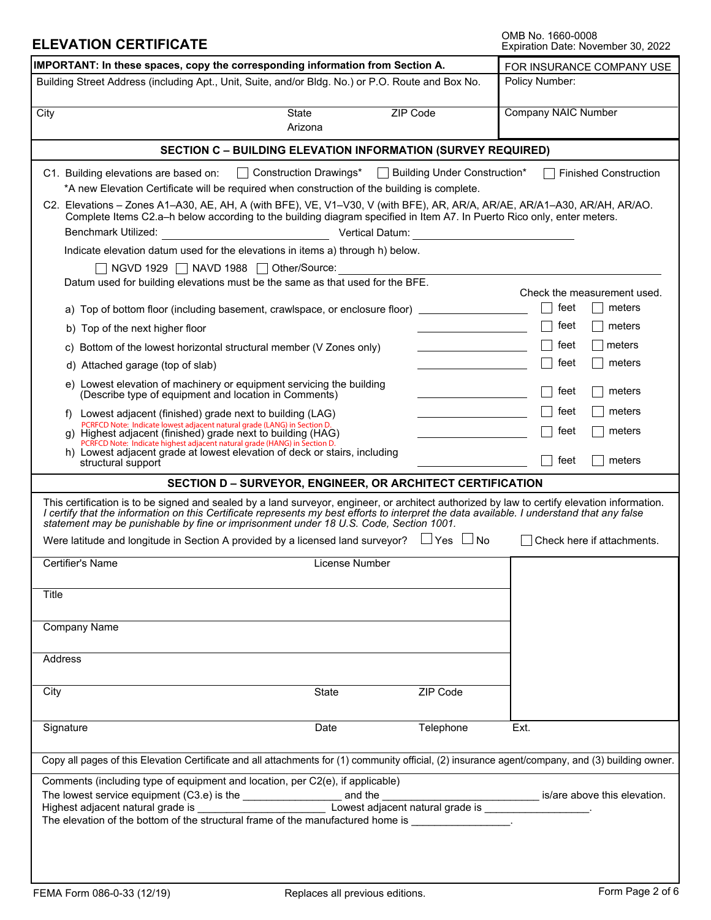| <b>ELEVATION CERTIFICATE</b>                                                                                                                                                                                                                                                                                                                                                                                                                                                                                                                                                                                                                                                                                                                                                                                                                                     |                                                                     |                                                                                                                                                                                                                                                                                                 | OMB No. 1660-0008<br>Expiration Date: November 30, 2022                                                                                                                     |
|------------------------------------------------------------------------------------------------------------------------------------------------------------------------------------------------------------------------------------------------------------------------------------------------------------------------------------------------------------------------------------------------------------------------------------------------------------------------------------------------------------------------------------------------------------------------------------------------------------------------------------------------------------------------------------------------------------------------------------------------------------------------------------------------------------------------------------------------------------------|---------------------------------------------------------------------|-------------------------------------------------------------------------------------------------------------------------------------------------------------------------------------------------------------------------------------------------------------------------------------------------|-----------------------------------------------------------------------------------------------------------------------------------------------------------------------------|
| IMPORTANT: In these spaces, copy the corresponding information from Section A.                                                                                                                                                                                                                                                                                                                                                                                                                                                                                                                                                                                                                                                                                                                                                                                   |                                                                     |                                                                                                                                                                                                                                                                                                 | FOR INSURANCE COMPANY USE                                                                                                                                                   |
| Building Street Address (including Apt., Unit, Suite, and/or Bldg. No.) or P.O. Route and Box No.                                                                                                                                                                                                                                                                                                                                                                                                                                                                                                                                                                                                                                                                                                                                                                |                                                                     |                                                                                                                                                                                                                                                                                                 | Policy Number:                                                                                                                                                              |
| City                                                                                                                                                                                                                                                                                                                                                                                                                                                                                                                                                                                                                                                                                                                                                                                                                                                             | <b>State</b><br>Arizona                                             | ZIP Code                                                                                                                                                                                                                                                                                        | <b>Company NAIC Number</b>                                                                                                                                                  |
|                                                                                                                                                                                                                                                                                                                                                                                                                                                                                                                                                                                                                                                                                                                                                                                                                                                                  | <b>SECTION C - BUILDING ELEVATION INFORMATION (SURVEY REQUIRED)</b> |                                                                                                                                                                                                                                                                                                 |                                                                                                                                                                             |
| C1. Building elevations are based on: $\Box$ Construction Drawings* $\Box$ Building Under Construction*<br>*A new Elevation Certificate will be required when construction of the building is complete.<br>C2. Elevations - Zones A1-A30, AE, AH, A (with BFE), VE, V1-V30, V (with BFE), AR, AR/A, AR/AE, AR/A1-A30, AR/AH, AR/AO.<br>Complete Items C2.a-h below according to the building diagram specified in Item A7. In Puerto Rico only, enter meters.<br>Benchmark Utilized:<br>Indicate elevation datum used for the elevations in items a) through h) below.                                                                                                                                                                                                                                                                                           |                                                                     |                                                                                                                                                                                                                                                                                                 | <b>Finished Construction</b>                                                                                                                                                |
| NGVD 1929   NAVD 1988   Other/Source:                                                                                                                                                                                                                                                                                                                                                                                                                                                                                                                                                                                                                                                                                                                                                                                                                            |                                                                     |                                                                                                                                                                                                                                                                                                 |                                                                                                                                                                             |
| Datum used for building elevations must be the same as that used for the BFE.<br>a) Top of bottom floor (including basement, crawlspace, or enclosure floor) ________________________<br>b) Top of the next higher floor<br>c) Bottom of the lowest horizontal structural member (V Zones only)<br>d) Attached garage (top of slab)<br>e) Lowest elevation of machinery or equipment servicing the building<br>(Describe type of equipment and location in Comments)<br>Lowest adjacent (finished) grade next to building (LAG)<br>f)<br>PCRFCD Note: Indicate lowest adjacent natural grade (LANG) in Section D.<br>g) Highest adjacent (finished) grade next to building (HAG)<br>PCRFCD Note: Indicate highest adjacent natural grade (HANG) in Section D.<br>h) Lowest adjacent grade at lowest elevation of deck or stairs, including<br>structural support |                                                                     | the control of the control of the control<br><u> 1989 - Johann Barbara, martxa al</u><br>the control of the control of the control of<br><u> Alexandria de la conte</u><br><u> 1989 - Jan Barbara Barat III, marka bashkan a shekara tsa na bashkan a shekara tsa na bashkan a shekara tsa </u> | Check the measurement used.<br>feet<br>meters<br>feet<br>meters<br>feet<br>meters<br>feet<br>meters<br>feet<br>meters<br>meters<br>feet<br>feet<br>meters<br>feet<br>meters |
|                                                                                                                                                                                                                                                                                                                                                                                                                                                                                                                                                                                                                                                                                                                                                                                                                                                                  | SECTION D - SURVEYOR, ENGINEER, OR ARCHITECT CERTIFICATION          |                                                                                                                                                                                                                                                                                                 |                                                                                                                                                                             |
| This certification is to be signed and sealed by a land surveyor, engineer, or architect authorized by law to certify elevation information.<br>I certify that the information on this Certificate represents my best efforts to interpret the data available. I understand that any false<br>statement may be punishable by fine or imprisonment under 18 U.S. Code, Section 1001.<br>Were latitude and longitude in Section A provided by a licensed land surveyor? $\Box$ Yes $\Box$ No                                                                                                                                                                                                                                                                                                                                                                       |                                                                     |                                                                                                                                                                                                                                                                                                 | Check here if attachments.                                                                                                                                                  |
| Certifier's Name                                                                                                                                                                                                                                                                                                                                                                                                                                                                                                                                                                                                                                                                                                                                                                                                                                                 | License Number                                                      |                                                                                                                                                                                                                                                                                                 |                                                                                                                                                                             |
| Title                                                                                                                                                                                                                                                                                                                                                                                                                                                                                                                                                                                                                                                                                                                                                                                                                                                            |                                                                     |                                                                                                                                                                                                                                                                                                 |                                                                                                                                                                             |
| Company Name                                                                                                                                                                                                                                                                                                                                                                                                                                                                                                                                                                                                                                                                                                                                                                                                                                                     |                                                                     |                                                                                                                                                                                                                                                                                                 |                                                                                                                                                                             |
| Address                                                                                                                                                                                                                                                                                                                                                                                                                                                                                                                                                                                                                                                                                                                                                                                                                                                          |                                                                     |                                                                                                                                                                                                                                                                                                 |                                                                                                                                                                             |
| City                                                                                                                                                                                                                                                                                                                                                                                                                                                                                                                                                                                                                                                                                                                                                                                                                                                             | State                                                               | ZIP Code<br>$\vert \textbf{v} \vert$                                                                                                                                                                                                                                                            |                                                                                                                                                                             |
| Signature                                                                                                                                                                                                                                                                                                                                                                                                                                                                                                                                                                                                                                                                                                                                                                                                                                                        | Date                                                                | Telephone                                                                                                                                                                                                                                                                                       | Ext.                                                                                                                                                                        |
| Copy all pages of this Elevation Certificate and all attachments for (1) community official, (2) insurance agent/company, and (3) building owner.                                                                                                                                                                                                                                                                                                                                                                                                                                                                                                                                                                                                                                                                                                                |                                                                     |                                                                                                                                                                                                                                                                                                 |                                                                                                                                                                             |
| Comments (including type of equipment and location, per C2(e), if applicable)<br>The elevation of the bottom of the structural frame of the manufactured home is electron contains                                                                                                                                                                                                                                                                                                                                                                                                                                                                                                                                                                                                                                                                               |                                                                     |                                                                                                                                                                                                                                                                                                 |                                                                                                                                                                             |
|                                                                                                                                                                                                                                                                                                                                                                                                                                                                                                                                                                                                                                                                                                                                                                                                                                                                  |                                                                     |                                                                                                                                                                                                                                                                                                 |                                                                                                                                                                             |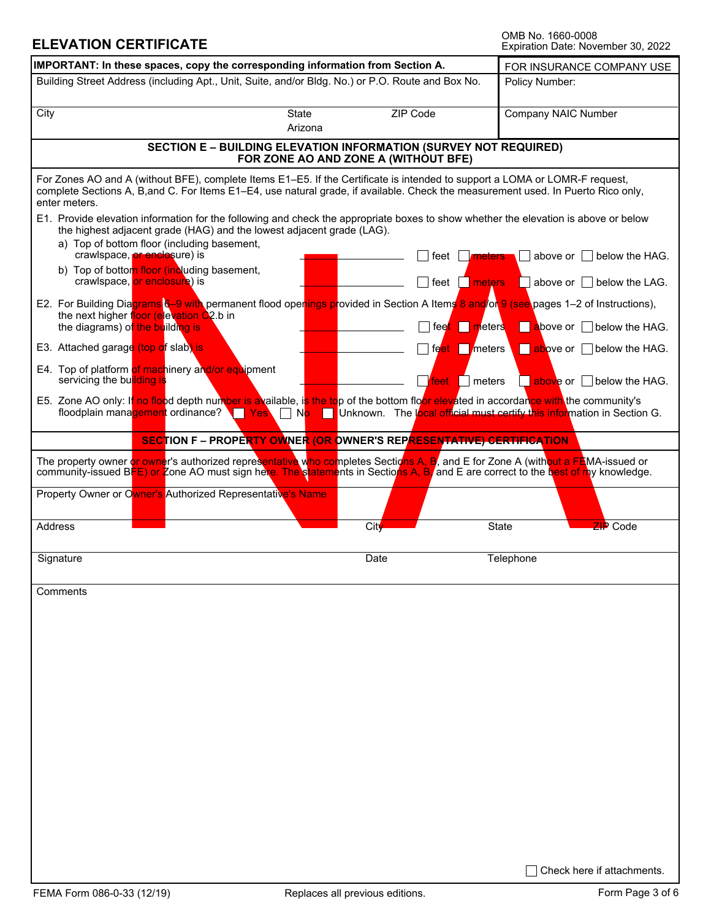# **ELEVATION CERTIFICATE OMB NO. 1660-0008**

| OMB No. 1660-0008 |                                    |  |
|-------------------|------------------------------------|--|
|                   | Expiration Date: November 30, 2022 |  |

| Building Street Address (including Apt., Unit, Suite, and/or Bldg. No.) or P.O. Route and Box No.<br>Policy Number:<br><b>ZIP Code</b><br>City<br><b>State</b><br>Company NAIC Number<br>Arizona<br><b>SECTION E - BUILDING ELEVATION INFORMATION (SURVEY NOT REQUIRED)</b><br>FOR ZONE AO AND ZONE A (WITHOUT BFE)<br>For Zones AO and A (without BFE), complete Items E1–E5. If the Certificate is intended to support a LOMA or LOMR-F request,<br>complete Sections A, B, and C. For Items E1-E4, use natural grade, if available. Check the measurement used. In Puerto Rico only,<br>enter meters.<br>E1. Provide elevation information for the following and check the appropriate boxes to show whether the elevation is above or below<br>the highest adjacent grade (HAG) and the lowest adjacent grade (LAG).<br>a) Top of bottom floor (including basement,<br>crawlspace, or enclosure) is<br>above or<br>below the HAG.<br>feet<br><i>meters</i><br>b) Top of bottom floor (including basement,<br>crawlspace, or enclosure) is<br>$ $ feet<br>meters<br>above or $\vert \ \vert$ below the LAG.<br>E2. For Building Diagrams 6-9 with permanent flood openings provided in Section A Items 8 and/or 9 (see pages 1-2 of Instructions),<br>the next higher floor (elevation $\dot{Q}$ 2.b in<br>the diagrams) of the building is<br>feet meters<br>above or below the HAG.<br>E3. Attached garage (top of slab) is<br>feet meters<br>above or  <br>below the HAG.<br>E4. Top of platform of machinery and/or equipment<br>servicing the building is<br>meters<br>above or I I below the HAG.<br>feet.<br>E5. Zone AO only: If no flood depth number is available, is the top of the bottom floor elevated in accordance with the community's<br>floodplain management ordinance? Table Yes<br>Unknown. The local official must certify this information in Section G.<br>No l<br><b>SECTION F - PROPERTY OWNER (OR OWNER'S REPARESENTATIVE) CERTIFICATION</b><br>The property owner or owner's authorized representative who completes Sections A, B, and E for Zone A (with <mark>out a FE</mark> MA-issued or<br>community-issued BFE) or Zone AO must sign here. The statements in Sections A, B and E are correct to the best of my knowledge.<br>Property Owner or Owner's Authorized Representative's Name<br><b>ZIP</b> Code<br>Address<br><b>City</b><br>State<br>$\blacktriangledown$<br>Telephone<br>Signature<br>Date<br>Comments | IMPORTANT: In these spaces, copy the corresponding information from Section A. |  | FOR INSURANCE COMPANY USE |
|------------------------------------------------------------------------------------------------------------------------------------------------------------------------------------------------------------------------------------------------------------------------------------------------------------------------------------------------------------------------------------------------------------------------------------------------------------------------------------------------------------------------------------------------------------------------------------------------------------------------------------------------------------------------------------------------------------------------------------------------------------------------------------------------------------------------------------------------------------------------------------------------------------------------------------------------------------------------------------------------------------------------------------------------------------------------------------------------------------------------------------------------------------------------------------------------------------------------------------------------------------------------------------------------------------------------------------------------------------------------------------------------------------------------------------------------------------------------------------------------------------------------------------------------------------------------------------------------------------------------------------------------------------------------------------------------------------------------------------------------------------------------------------------------------------------------------------------------------------------------------------------------------------------------------------------------------------------------------------------------------------------------------------------------------------------------------------------------------------------------------------------------------------------------------------------------------------------------------------------------------------------------------------------------------------------------------------------------------------------------------------------------------------------------------------------------------------|--------------------------------------------------------------------------------|--|---------------------------|
|                                                                                                                                                                                                                                                                                                                                                                                                                                                                                                                                                                                                                                                                                                                                                                                                                                                                                                                                                                                                                                                                                                                                                                                                                                                                                                                                                                                                                                                                                                                                                                                                                                                                                                                                                                                                                                                                                                                                                                                                                                                                                                                                                                                                                                                                                                                                                                                                                                                            |                                                                                |  |                           |
|                                                                                                                                                                                                                                                                                                                                                                                                                                                                                                                                                                                                                                                                                                                                                                                                                                                                                                                                                                                                                                                                                                                                                                                                                                                                                                                                                                                                                                                                                                                                                                                                                                                                                                                                                                                                                                                                                                                                                                                                                                                                                                                                                                                                                                                                                                                                                                                                                                                            |                                                                                |  |                           |
|                                                                                                                                                                                                                                                                                                                                                                                                                                                                                                                                                                                                                                                                                                                                                                                                                                                                                                                                                                                                                                                                                                                                                                                                                                                                                                                                                                                                                                                                                                                                                                                                                                                                                                                                                                                                                                                                                                                                                                                                                                                                                                                                                                                                                                                                                                                                                                                                                                                            |                                                                                |  |                           |
|                                                                                                                                                                                                                                                                                                                                                                                                                                                                                                                                                                                                                                                                                                                                                                                                                                                                                                                                                                                                                                                                                                                                                                                                                                                                                                                                                                                                                                                                                                                                                                                                                                                                                                                                                                                                                                                                                                                                                                                                                                                                                                                                                                                                                                                                                                                                                                                                                                                            |                                                                                |  |                           |
|                                                                                                                                                                                                                                                                                                                                                                                                                                                                                                                                                                                                                                                                                                                                                                                                                                                                                                                                                                                                                                                                                                                                                                                                                                                                                                                                                                                                                                                                                                                                                                                                                                                                                                                                                                                                                                                                                                                                                                                                                                                                                                                                                                                                                                                                                                                                                                                                                                                            |                                                                                |  |                           |
|                                                                                                                                                                                                                                                                                                                                                                                                                                                                                                                                                                                                                                                                                                                                                                                                                                                                                                                                                                                                                                                                                                                                                                                                                                                                                                                                                                                                                                                                                                                                                                                                                                                                                                                                                                                                                                                                                                                                                                                                                                                                                                                                                                                                                                                                                                                                                                                                                                                            |                                                                                |  |                           |
|                                                                                                                                                                                                                                                                                                                                                                                                                                                                                                                                                                                                                                                                                                                                                                                                                                                                                                                                                                                                                                                                                                                                                                                                                                                                                                                                                                                                                                                                                                                                                                                                                                                                                                                                                                                                                                                                                                                                                                                                                                                                                                                                                                                                                                                                                                                                                                                                                                                            |                                                                                |  |                           |
|                                                                                                                                                                                                                                                                                                                                                                                                                                                                                                                                                                                                                                                                                                                                                                                                                                                                                                                                                                                                                                                                                                                                                                                                                                                                                                                                                                                                                                                                                                                                                                                                                                                                                                                                                                                                                                                                                                                                                                                                                                                                                                                                                                                                                                                                                                                                                                                                                                                            |                                                                                |  |                           |
|                                                                                                                                                                                                                                                                                                                                                                                                                                                                                                                                                                                                                                                                                                                                                                                                                                                                                                                                                                                                                                                                                                                                                                                                                                                                                                                                                                                                                                                                                                                                                                                                                                                                                                                                                                                                                                                                                                                                                                                                                                                                                                                                                                                                                                                                                                                                                                                                                                                            |                                                                                |  |                           |
|                                                                                                                                                                                                                                                                                                                                                                                                                                                                                                                                                                                                                                                                                                                                                                                                                                                                                                                                                                                                                                                                                                                                                                                                                                                                                                                                                                                                                                                                                                                                                                                                                                                                                                                                                                                                                                                                                                                                                                                                                                                                                                                                                                                                                                                                                                                                                                                                                                                            |                                                                                |  |                           |
|                                                                                                                                                                                                                                                                                                                                                                                                                                                                                                                                                                                                                                                                                                                                                                                                                                                                                                                                                                                                                                                                                                                                                                                                                                                                                                                                                                                                                                                                                                                                                                                                                                                                                                                                                                                                                                                                                                                                                                                                                                                                                                                                                                                                                                                                                                                                                                                                                                                            |                                                                                |  |                           |
|                                                                                                                                                                                                                                                                                                                                                                                                                                                                                                                                                                                                                                                                                                                                                                                                                                                                                                                                                                                                                                                                                                                                                                                                                                                                                                                                                                                                                                                                                                                                                                                                                                                                                                                                                                                                                                                                                                                                                                                                                                                                                                                                                                                                                                                                                                                                                                                                                                                            |                                                                                |  |                           |
|                                                                                                                                                                                                                                                                                                                                                                                                                                                                                                                                                                                                                                                                                                                                                                                                                                                                                                                                                                                                                                                                                                                                                                                                                                                                                                                                                                                                                                                                                                                                                                                                                                                                                                                                                                                                                                                                                                                                                                                                                                                                                                                                                                                                                                                                                                                                                                                                                                                            |                                                                                |  |                           |
|                                                                                                                                                                                                                                                                                                                                                                                                                                                                                                                                                                                                                                                                                                                                                                                                                                                                                                                                                                                                                                                                                                                                                                                                                                                                                                                                                                                                                                                                                                                                                                                                                                                                                                                                                                                                                                                                                                                                                                                                                                                                                                                                                                                                                                                                                                                                                                                                                                                            |                                                                                |  |                           |
|                                                                                                                                                                                                                                                                                                                                                                                                                                                                                                                                                                                                                                                                                                                                                                                                                                                                                                                                                                                                                                                                                                                                                                                                                                                                                                                                                                                                                                                                                                                                                                                                                                                                                                                                                                                                                                                                                                                                                                                                                                                                                                                                                                                                                                                                                                                                                                                                                                                            |                                                                                |  |                           |
|                                                                                                                                                                                                                                                                                                                                                                                                                                                                                                                                                                                                                                                                                                                                                                                                                                                                                                                                                                                                                                                                                                                                                                                                                                                                                                                                                                                                                                                                                                                                                                                                                                                                                                                                                                                                                                                                                                                                                                                                                                                                                                                                                                                                                                                                                                                                                                                                                                                            |                                                                                |  |                           |
|                                                                                                                                                                                                                                                                                                                                                                                                                                                                                                                                                                                                                                                                                                                                                                                                                                                                                                                                                                                                                                                                                                                                                                                                                                                                                                                                                                                                                                                                                                                                                                                                                                                                                                                                                                                                                                                                                                                                                                                                                                                                                                                                                                                                                                                                                                                                                                                                                                                            |                                                                                |  |                           |
|                                                                                                                                                                                                                                                                                                                                                                                                                                                                                                                                                                                                                                                                                                                                                                                                                                                                                                                                                                                                                                                                                                                                                                                                                                                                                                                                                                                                                                                                                                                                                                                                                                                                                                                                                                                                                                                                                                                                                                                                                                                                                                                                                                                                                                                                                                                                                                                                                                                            |                                                                                |  |                           |
|                                                                                                                                                                                                                                                                                                                                                                                                                                                                                                                                                                                                                                                                                                                                                                                                                                                                                                                                                                                                                                                                                                                                                                                                                                                                                                                                                                                                                                                                                                                                                                                                                                                                                                                                                                                                                                                                                                                                                                                                                                                                                                                                                                                                                                                                                                                                                                                                                                                            |                                                                                |  |                           |
|                                                                                                                                                                                                                                                                                                                                                                                                                                                                                                                                                                                                                                                                                                                                                                                                                                                                                                                                                                                                                                                                                                                                                                                                                                                                                                                                                                                                                                                                                                                                                                                                                                                                                                                                                                                                                                                                                                                                                                                                                                                                                                                                                                                                                                                                                                                                                                                                                                                            |                                                                                |  |                           |
|                                                                                                                                                                                                                                                                                                                                                                                                                                                                                                                                                                                                                                                                                                                                                                                                                                                                                                                                                                                                                                                                                                                                                                                                                                                                                                                                                                                                                                                                                                                                                                                                                                                                                                                                                                                                                                                                                                                                                                                                                                                                                                                                                                                                                                                                                                                                                                                                                                                            |                                                                                |  |                           |
|                                                                                                                                                                                                                                                                                                                                                                                                                                                                                                                                                                                                                                                                                                                                                                                                                                                                                                                                                                                                                                                                                                                                                                                                                                                                                                                                                                                                                                                                                                                                                                                                                                                                                                                                                                                                                                                                                                                                                                                                                                                                                                                                                                                                                                                                                                                                                                                                                                                            |                                                                                |  |                           |
|                                                                                                                                                                                                                                                                                                                                                                                                                                                                                                                                                                                                                                                                                                                                                                                                                                                                                                                                                                                                                                                                                                                                                                                                                                                                                                                                                                                                                                                                                                                                                                                                                                                                                                                                                                                                                                                                                                                                                                                                                                                                                                                                                                                                                                                                                                                                                                                                                                                            |                                                                                |  |                           |
|                                                                                                                                                                                                                                                                                                                                                                                                                                                                                                                                                                                                                                                                                                                                                                                                                                                                                                                                                                                                                                                                                                                                                                                                                                                                                                                                                                                                                                                                                                                                                                                                                                                                                                                                                                                                                                                                                                                                                                                                                                                                                                                                                                                                                                                                                                                                                                                                                                                            |                                                                                |  |                           |
|                                                                                                                                                                                                                                                                                                                                                                                                                                                                                                                                                                                                                                                                                                                                                                                                                                                                                                                                                                                                                                                                                                                                                                                                                                                                                                                                                                                                                                                                                                                                                                                                                                                                                                                                                                                                                                                                                                                                                                                                                                                                                                                                                                                                                                                                                                                                                                                                                                                            |                                                                                |  |                           |
|                                                                                                                                                                                                                                                                                                                                                                                                                                                                                                                                                                                                                                                                                                                                                                                                                                                                                                                                                                                                                                                                                                                                                                                                                                                                                                                                                                                                                                                                                                                                                                                                                                                                                                                                                                                                                                                                                                                                                                                                                                                                                                                                                                                                                                                                                                                                                                                                                                                            |                                                                                |  |                           |
|                                                                                                                                                                                                                                                                                                                                                                                                                                                                                                                                                                                                                                                                                                                                                                                                                                                                                                                                                                                                                                                                                                                                                                                                                                                                                                                                                                                                                                                                                                                                                                                                                                                                                                                                                                                                                                                                                                                                                                                                                                                                                                                                                                                                                                                                                                                                                                                                                                                            |                                                                                |  |                           |
|                                                                                                                                                                                                                                                                                                                                                                                                                                                                                                                                                                                                                                                                                                                                                                                                                                                                                                                                                                                                                                                                                                                                                                                                                                                                                                                                                                                                                                                                                                                                                                                                                                                                                                                                                                                                                                                                                                                                                                                                                                                                                                                                                                                                                                                                                                                                                                                                                                                            |                                                                                |  |                           |
|                                                                                                                                                                                                                                                                                                                                                                                                                                                                                                                                                                                                                                                                                                                                                                                                                                                                                                                                                                                                                                                                                                                                                                                                                                                                                                                                                                                                                                                                                                                                                                                                                                                                                                                                                                                                                                                                                                                                                                                                                                                                                                                                                                                                                                                                                                                                                                                                                                                            |                                                                                |  |                           |
|                                                                                                                                                                                                                                                                                                                                                                                                                                                                                                                                                                                                                                                                                                                                                                                                                                                                                                                                                                                                                                                                                                                                                                                                                                                                                                                                                                                                                                                                                                                                                                                                                                                                                                                                                                                                                                                                                                                                                                                                                                                                                                                                                                                                                                                                                                                                                                                                                                                            |                                                                                |  |                           |
|                                                                                                                                                                                                                                                                                                                                                                                                                                                                                                                                                                                                                                                                                                                                                                                                                                                                                                                                                                                                                                                                                                                                                                                                                                                                                                                                                                                                                                                                                                                                                                                                                                                                                                                                                                                                                                                                                                                                                                                                                                                                                                                                                                                                                                                                                                                                                                                                                                                            |                                                                                |  |                           |
|                                                                                                                                                                                                                                                                                                                                                                                                                                                                                                                                                                                                                                                                                                                                                                                                                                                                                                                                                                                                                                                                                                                                                                                                                                                                                                                                                                                                                                                                                                                                                                                                                                                                                                                                                                                                                                                                                                                                                                                                                                                                                                                                                                                                                                                                                                                                                                                                                                                            |                                                                                |  |                           |
| Check here if attachments.                                                                                                                                                                                                                                                                                                                                                                                                                                                                                                                                                                                                                                                                                                                                                                                                                                                                                                                                                                                                                                                                                                                                                                                                                                                                                                                                                                                                                                                                                                                                                                                                                                                                                                                                                                                                                                                                                                                                                                                                                                                                                                                                                                                                                                                                                                                                                                                                                                 |                                                                                |  |                           |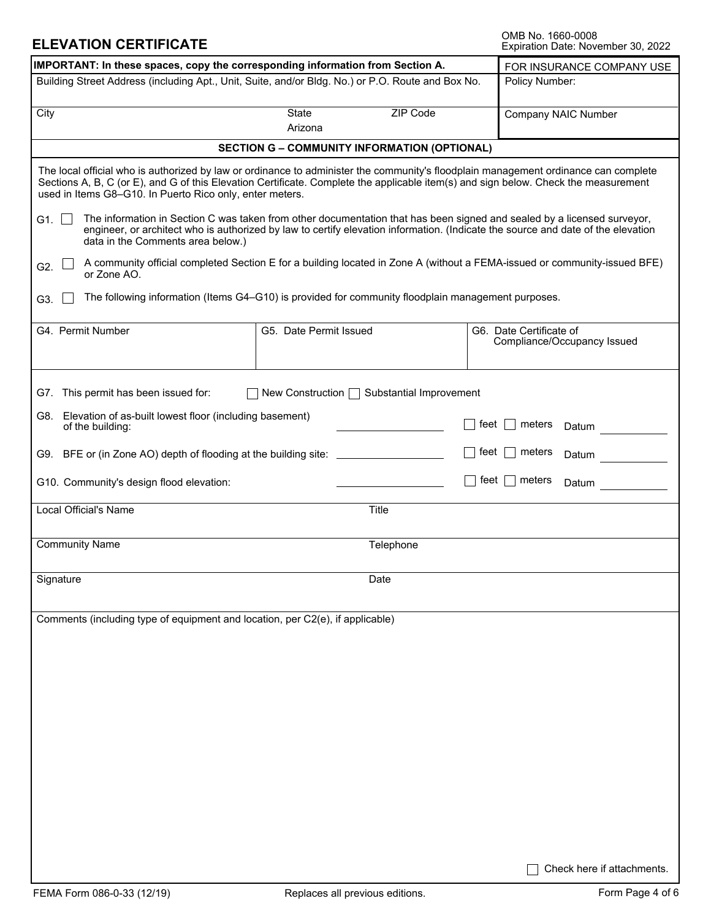### **ELEVATION CERTIFICATE**

OMB No. 1660-0008<br>Expiration Date: November 30, 2022

| IMPORTANT: In these spaces, copy the corresponding information from Section A.                                                                                                                                                                                                                                                         | FOR INSURANCE COMPANY USE                                                                                               |                                                                                                                                  |  |  |  |
|----------------------------------------------------------------------------------------------------------------------------------------------------------------------------------------------------------------------------------------------------------------------------------------------------------------------------------------|-------------------------------------------------------------------------------------------------------------------------|----------------------------------------------------------------------------------------------------------------------------------|--|--|--|
| Building Street Address (including Apt., Unit, Suite, and/or Bldg. No.) or P.O. Route and Box No.                                                                                                                                                                                                                                      | Policy Number:                                                                                                          |                                                                                                                                  |  |  |  |
| City                                                                                                                                                                                                                                                                                                                                   | Company NAIC Number                                                                                                     |                                                                                                                                  |  |  |  |
|                                                                                                                                                                                                                                                                                                                                        | <b>SECTION G - COMMUNITY INFORMATION (OPTIONAL)</b>                                                                     |                                                                                                                                  |  |  |  |
| The local official who is authorized by law or ordinance to administer the community's floodplain management ordinance can complete<br>Sections A, B, C (or E), and G of this Elevation Certificate. Complete the applicable item(s) and sign below. Check the measurement<br>used in Items G8-G10. In Puerto Rico only, enter meters. |                                                                                                                         |                                                                                                                                  |  |  |  |
| G <sub>1.</sub> $\vert$<br>data in the Comments area below.)                                                                                                                                                                                                                                                                           | The information in Section C was taken from other documentation that has been signed and sealed by a licensed surveyor, | engineer, or architect who is authorized by law to certify elevation information. (Indicate the source and date of the elevation |  |  |  |
| G2.<br>or Zone AO.                                                                                                                                                                                                                                                                                                                     |                                                                                                                         | A community official completed Section E for a building located in Zone A (without a FEMA-issued or community-issued BFE)        |  |  |  |
| G3.                                                                                                                                                                                                                                                                                                                                    | The following information (Items G4-G10) is provided for community floodplain management purposes.                      |                                                                                                                                  |  |  |  |
| G4. Permit Number                                                                                                                                                                                                                                                                                                                      | G5. Date Permit Issued                                                                                                  | G6. Date Certificate of<br>Compliance/Occupancy Issued                                                                           |  |  |  |
| G7. This permit has been issued for:                                                                                                                                                                                                                                                                                                   | New Construction □ Substantial Improvement                                                                              |                                                                                                                                  |  |  |  |
| G8. Elevation of as-built lowest floor (including basement)<br>of the building:                                                                                                                                                                                                                                                        |                                                                                                                         | feet<br>meters<br>Datum                                                                                                          |  |  |  |
| G9. BFE or (in Zone AO) depth of flooding at the building site: _______________                                                                                                                                                                                                                                                        |                                                                                                                         | feet<br>meters<br>Datum                                                                                                          |  |  |  |
| G10. Community's design flood elevation:                                                                                                                                                                                                                                                                                               |                                                                                                                         | feet<br>meters<br>Datum                                                                                                          |  |  |  |
| Local Official's Name                                                                                                                                                                                                                                                                                                                  | Title                                                                                                                   |                                                                                                                                  |  |  |  |
| <b>Community Name</b>                                                                                                                                                                                                                                                                                                                  | Telephone                                                                                                               |                                                                                                                                  |  |  |  |
| Signature                                                                                                                                                                                                                                                                                                                              | Date                                                                                                                    |                                                                                                                                  |  |  |  |
| Comments (including type of equipment and location, per C2(e), if applicable)                                                                                                                                                                                                                                                          |                                                                                                                         |                                                                                                                                  |  |  |  |
|                                                                                                                                                                                                                                                                                                                                        |                                                                                                                         |                                                                                                                                  |  |  |  |
|                                                                                                                                                                                                                                                                                                                                        |                                                                                                                         |                                                                                                                                  |  |  |  |
|                                                                                                                                                                                                                                                                                                                                        |                                                                                                                         |                                                                                                                                  |  |  |  |
|                                                                                                                                                                                                                                                                                                                                        |                                                                                                                         |                                                                                                                                  |  |  |  |
|                                                                                                                                                                                                                                                                                                                                        |                                                                                                                         |                                                                                                                                  |  |  |  |
|                                                                                                                                                                                                                                                                                                                                        |                                                                                                                         |                                                                                                                                  |  |  |  |
|                                                                                                                                                                                                                                                                                                                                        |                                                                                                                         |                                                                                                                                  |  |  |  |
|                                                                                                                                                                                                                                                                                                                                        |                                                                                                                         | Check here if attachments.                                                                                                       |  |  |  |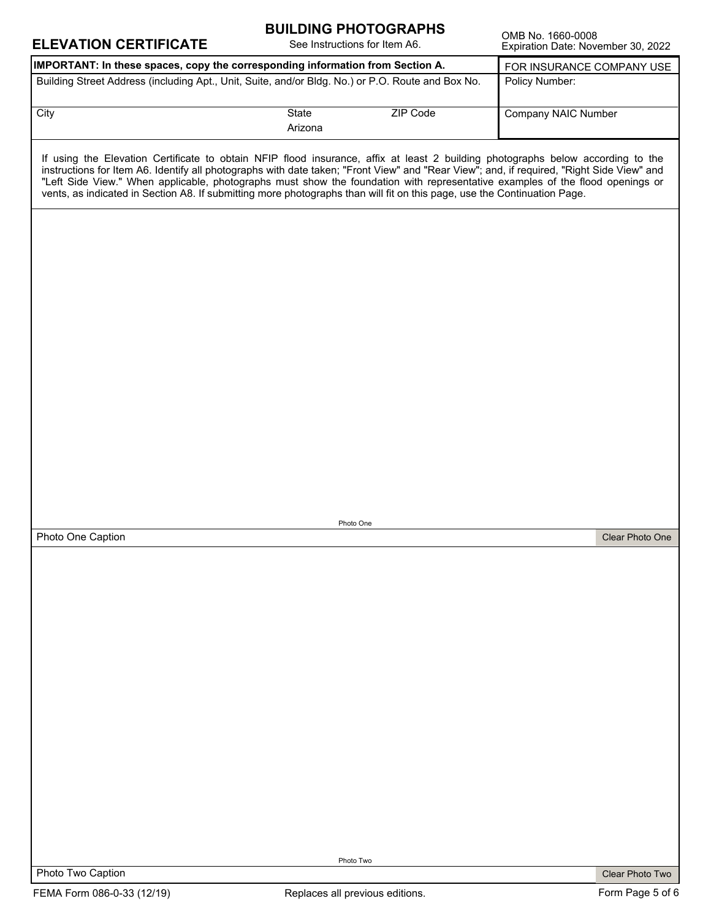| <b>ELEVATION CERTIFICATE</b>                                                                                                                                                                                                                                                                                                                                                                                                                                                                                                              | <b>DUILDINU FRUTUURAFRJ</b><br>See Instructions for Item A6. |                 | OMB No. 1660-0008<br>Expiration Date: November 30, 2022 |                 |
|-------------------------------------------------------------------------------------------------------------------------------------------------------------------------------------------------------------------------------------------------------------------------------------------------------------------------------------------------------------------------------------------------------------------------------------------------------------------------------------------------------------------------------------------|--------------------------------------------------------------|-----------------|---------------------------------------------------------|-----------------|
| IMPORTANT: In these spaces, copy the corresponding information from Section A.                                                                                                                                                                                                                                                                                                                                                                                                                                                            |                                                              |                 | FOR INSURANCE COMPANY USE                               |                 |
| Building Street Address (including Apt., Unit, Suite, and/or Bldg. No.) or P.O. Route and Box No.                                                                                                                                                                                                                                                                                                                                                                                                                                         |                                                              |                 | Policy Number:                                          |                 |
| City                                                                                                                                                                                                                                                                                                                                                                                                                                                                                                                                      | State<br>Arizona                                             | <b>ZIP Code</b> | <b>Company NAIC Number</b>                              |                 |
| If using the Elevation Certificate to obtain NFIP flood insurance, affix at least 2 building photographs below according to the<br>instructions for Item A6. Identify all photographs with date taken; "Front View" and "Rear View"; and, if required, "Right Side View" and<br>"Left Side View." When applicable, photographs must show the foundation with representative examples of the flood openings or<br>vents, as indicated in Section A8. If submitting more photographs than will fit on this page, use the Continuation Page. |                                                              |                 |                                                         |                 |
|                                                                                                                                                                                                                                                                                                                                                                                                                                                                                                                                           |                                                              |                 |                                                         |                 |
|                                                                                                                                                                                                                                                                                                                                                                                                                                                                                                                                           |                                                              |                 |                                                         |                 |
|                                                                                                                                                                                                                                                                                                                                                                                                                                                                                                                                           |                                                              |                 |                                                         |                 |
|                                                                                                                                                                                                                                                                                                                                                                                                                                                                                                                                           |                                                              |                 |                                                         |                 |
|                                                                                                                                                                                                                                                                                                                                                                                                                                                                                                                                           |                                                              |                 |                                                         |                 |
|                                                                                                                                                                                                                                                                                                                                                                                                                                                                                                                                           |                                                              |                 |                                                         |                 |
|                                                                                                                                                                                                                                                                                                                                                                                                                                                                                                                                           |                                                              |                 |                                                         |                 |
|                                                                                                                                                                                                                                                                                                                                                                                                                                                                                                                                           |                                                              |                 |                                                         |                 |
|                                                                                                                                                                                                                                                                                                                                                                                                                                                                                                                                           |                                                              |                 |                                                         |                 |
|                                                                                                                                                                                                                                                                                                                                                                                                                                                                                                                                           | Photo One                                                    |                 |                                                         |                 |
| Photo One Caption                                                                                                                                                                                                                                                                                                                                                                                                                                                                                                                         |                                                              |                 |                                                         | Clear Photo One |
|                                                                                                                                                                                                                                                                                                                                                                                                                                                                                                                                           |                                                              |                 |                                                         |                 |
|                                                                                                                                                                                                                                                                                                                                                                                                                                                                                                                                           |                                                              |                 |                                                         |                 |
|                                                                                                                                                                                                                                                                                                                                                                                                                                                                                                                                           |                                                              |                 |                                                         |                 |
|                                                                                                                                                                                                                                                                                                                                                                                                                                                                                                                                           |                                                              |                 |                                                         |                 |
|                                                                                                                                                                                                                                                                                                                                                                                                                                                                                                                                           |                                                              |                 |                                                         |                 |
|                                                                                                                                                                                                                                                                                                                                                                                                                                                                                                                                           |                                                              |                 |                                                         |                 |
|                                                                                                                                                                                                                                                                                                                                                                                                                                                                                                                                           |                                                              |                 |                                                         |                 |
|                                                                                                                                                                                                                                                                                                                                                                                                                                                                                                                                           |                                                              |                 |                                                         |                 |
|                                                                                                                                                                                                                                                                                                                                                                                                                                                                                                                                           |                                                              |                 |                                                         |                 |
|                                                                                                                                                                                                                                                                                                                                                                                                                                                                                                                                           |                                                              |                 |                                                         |                 |
|                                                                                                                                                                                                                                                                                                                                                                                                                                                                                                                                           |                                                              |                 |                                                         |                 |
|                                                                                                                                                                                                                                                                                                                                                                                                                                                                                                                                           |                                                              |                 |                                                         |                 |
|                                                                                                                                                                                                                                                                                                                                                                                                                                                                                                                                           |                                                              |                 |                                                         |                 |
|                                                                                                                                                                                                                                                                                                                                                                                                                                                                                                                                           |                                                              |                 |                                                         |                 |
|                                                                                                                                                                                                                                                                                                                                                                                                                                                                                                                                           |                                                              |                 |                                                         |                 |
|                                                                                                                                                                                                                                                                                                                                                                                                                                                                                                                                           |                                                              |                 |                                                         |                 |
|                                                                                                                                                                                                                                                                                                                                                                                                                                                                                                                                           |                                                              |                 |                                                         |                 |
|                                                                                                                                                                                                                                                                                                                                                                                                                                                                                                                                           | Photo Two                                                    |                 |                                                         |                 |

**BUILDING PHOTOGRAPHS** 

Photo Two Caption